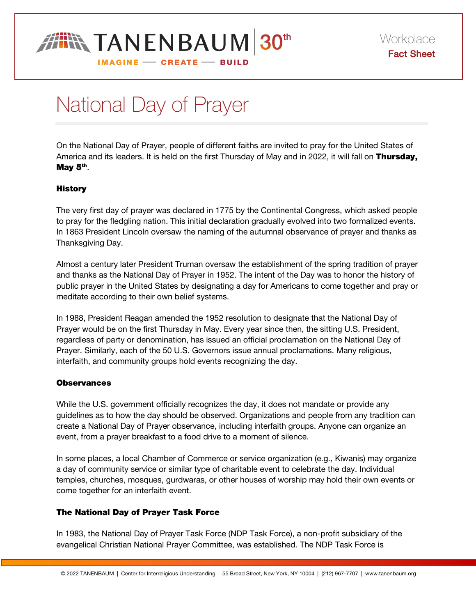

# National Day of Prayer

On the National Day of Prayer, people of different faiths are invited to pray for the United States of America and its leaders. It is held on the first Thursday of May and in 2022, it will fall on Thursday, May  $5<sup>th</sup>$ .

## **History**

The very first day of prayer was declared in 1775 by the Continental Congress, which asked people to pray for the fledgling nation. This initial declaration gradually evolved into two formalized events. In 1863 President Lincoln oversaw the naming of the autumnal observance of prayer and thanks as Thanksgiving Day.

Almost a century later President Truman oversaw the establishment of the spring tradition of prayer and thanks as the National Day of Prayer in 1952. The intent of the Day was to honor the history of public prayer in the United States by designating a day for Americans to come together and pray or meditate according to their own belief systems.

In 1988, President Reagan amended the 1952 resolution to designate that the National Day of Prayer would be on the first Thursday in May. Every year since then, the sitting U.S. President, regardless of party or denomination, has issued an official proclamation on the National Day of Prayer. Similarly, each of the 50 U.S. Governors issue annual proclamations. Many religious, interfaith, and community groups hold events recognizing the day.

## **Observances**

While the U.S. government officially recognizes the day, it does not mandate or provide any guidelines as to how the day should be observed. Organizations and people from any tradition can create a National Day of Prayer observance, including interfaith groups. Anyone can organize an event, from a prayer breakfast to a food drive to a moment of silence.

In some places, a local Chamber of Commerce or service organization (e.g., Kiwanis) may organize a day of community service or similar type of charitable event to celebrate the day. Individual temples, churches, mosques, gurdwaras, or other houses of worship may hold their own events or come together for an interfaith event.

## The National Day of Prayer Task Force

In 1983, the National Day of Prayer Task Force (NDP Task Force), a non-profit subsidiary of the evangelical Christian National Prayer Committee, was established. The NDP Task Force is